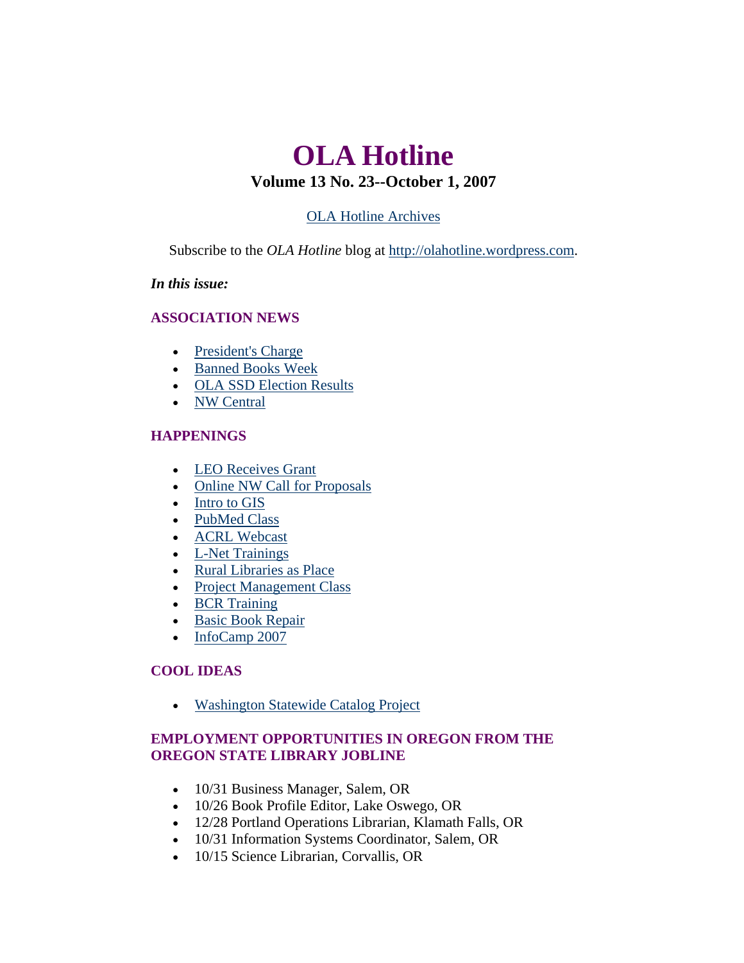# <span id="page-0-0"></span>**OLA Hotline Volume 13 No. 23--October 1, 2007**

# [OLA Hotline Archives](http://olaweb.org/hotline/index.shtml)

Subscribe to the *OLA Hotline* blog at [http://olahotline.wordpress.com.](http://olahotline.wordpress.com/)

### *In this issue:*

#### **ASSOCIATION NEWS**

- [President's Charge](#page-1-0)
- [Banned Books Week](#page-2-0)
- [OLA SSD Election Results](#page-3-0)
- [NW Central](#page-4-0)

### **HAPPENINGS**

- [LEO Receives Grant](#page-5-0)
- [Online NW Call for Proposals](#page-0-0)
- [Intro to GIS](#page-5-0)
- [PubMed Class](#page-6-0)
- [ACRL Webcast](#page-7-0)
- [L-Net Trainings](#page-8-0)
- [Rural Libraries as Place](#page-8-0)
- [Project Management Class](#page-9-0)
- [BCR Training](#page-10-0)
- [Basic Book Repair](#page-11-0)
- [InfoCamp 2007](#page-12-0)

# **COOL IDEAS**

• [Washington Statewide Catalog Project](#page-12-0)

# **EMPLOYMENT OPPORTUNITIES IN OREGON FROM THE OREGON STATE LIBRARY JOBLINE**

- 10/31 Business Manager, Salem, OR
- 10/26 Book Profile Editor, Lake Oswego, OR
- 12/28 Portland Operations Librarian, Klamath Falls, OR
- 10/31 Information Systems Coordinator, Salem, OR
- 10/15 Science Librarian, Corvallis, OR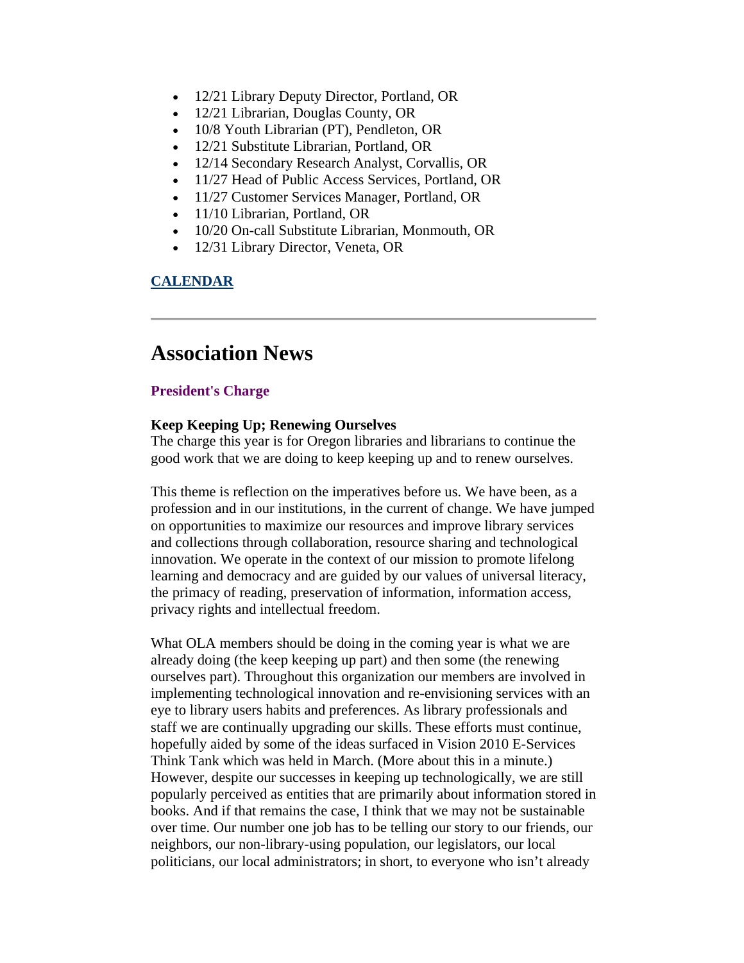- <span id="page-1-0"></span>• 12/21 Library Deputy Director, Portland, OR
- 12/21 Librarian, Douglas County, OR
- 10/8 Youth Librarian (PT), Pendleton, OR
- 12/21 Substitute Librarian, Portland, OR
- 12/14 Secondary Research Analyst, Corvallis, OR
- 11/27 Head of Public Access Services, Portland, OR
- 11/27 Customer Services Manager, Portland, OR
- 11/10 Librarian, Portland, OR
- 10/20 On-call Substitute Librarian, Monmouth, OR
- 12/31 Library Director, Veneta, OR

# **[CALENDAR](http://web.memberclicks.com/mc/community/vieweventcalendar.do?orgId=ola)**

# **Association News**

#### **President's Charge**

#### **Keep Keeping Up; Renewing Ourselves**

The charge this year is for Oregon libraries and librarians to continue the good work that we are doing to keep keeping up and to renew ourselves.

This theme is reflection on the imperatives before us. We have been, as a profession and in our institutions, in the current of change. We have jumped on opportunities to maximize our resources and improve library services and collections through collaboration, resource sharing and technological innovation. We operate in the context of our mission to promote lifelong learning and democracy and are guided by our values of universal literacy, the primacy of reading, preservation of information, information access, privacy rights and intellectual freedom.

What OLA members should be doing in the coming year is what we are already doing (the keep keeping up part) and then some (the renewing ourselves part). Throughout this organization our members are involved in implementing technological innovation and re-envisioning services with an eye to library users habits and preferences. As library professionals and staff we are continually upgrading our skills. These efforts must continue, hopefully aided by some of the ideas surfaced in Vision 2010 E-Services Think Tank which was held in March. (More about this in a minute.) However, despite our successes in keeping up technologically, we are still popularly perceived as entities that are primarily about information stored in books. And if that remains the case, I think that we may not be sustainable over time. Our number one job has to be telling our story to our friends, our neighbors, our non-library-using population, our legislators, our local politicians, our local administrators; in short, to everyone who isn't already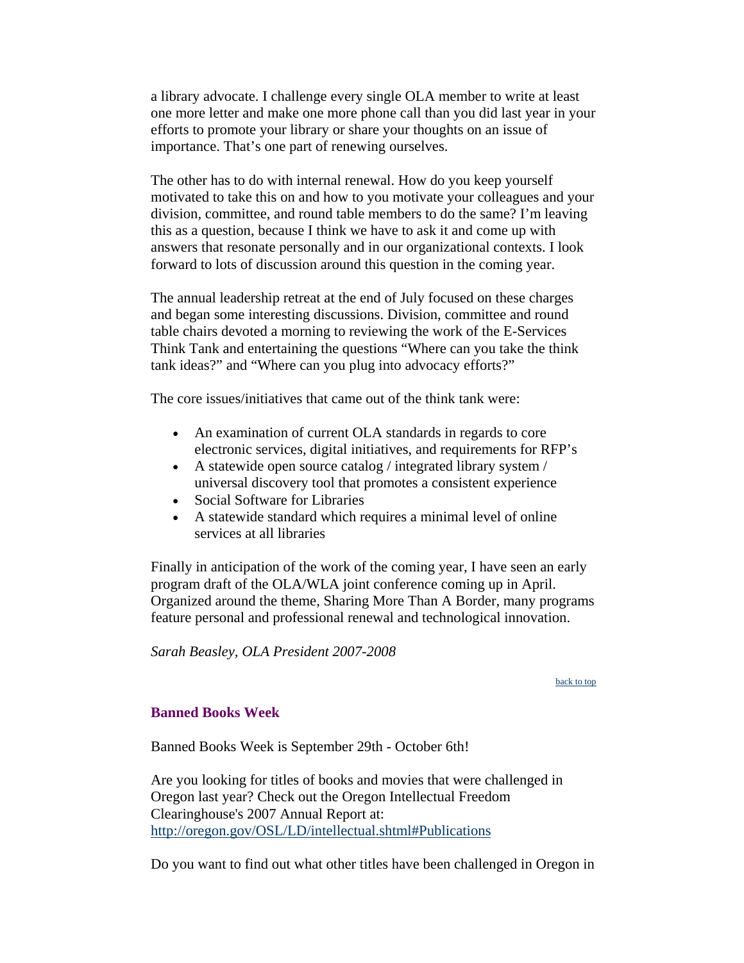<span id="page-2-0"></span>a library advocate. I challenge every single OLA member to write at least one more letter and make one more phone call than you did last year in your efforts to promote your library or share your thoughts on an issue of importance. That's one part of renewing ourselves.

The other has to do with internal renewal. How do you keep yourself motivated to take this on and how to you motivate your colleagues and your division, committee, and round table members to do the same? I'm leaving this as a question, because I think we have to ask it and come up with answers that resonate personally and in our organizational contexts. I look forward to lots of discussion around this question in the coming year.

The annual leadership retreat at the end of July focused on these charges and began some interesting discussions. Division, committee and round table chairs devoted a morning to reviewing the work of the E-Services Think Tank and entertaining the questions "Where can you take the think tank ideas?" and "Where can you plug into advocacy efforts?"

The core issues/initiatives that came out of the think tank were:

- An examination of current OLA standards in regards to core electronic services, digital initiatives, and requirements for RFP's
- A statewide open source catalog / integrated library system / universal discovery tool that promotes a consistent experience
- Social Software for Libraries
- A statewide standard which requires a minimal level of online services at all libraries

Finally in anticipation of the work of the coming year, I have seen an early program draft of the OLA/WLA joint conference coming up in April. Organized around the theme, Sharing More Than A Border, many programs feature personal and professional renewal and technological innovation.

*Sarah Beasley, OLA President 2007-2008*

#### [back to top](#page-0-0)

# **Banned Books Week**

Banned Books Week is September 29th - October 6th!

Are you looking for titles of books and movies that were challenged in Oregon last year? Check out the Oregon Intellectual Freedom Clearinghouse's 2007 Annual Report at: <http://oregon.gov/OSL/LD/intellectual.shtml#Publications>

Do you want to find out what other titles have been challenged in Oregon in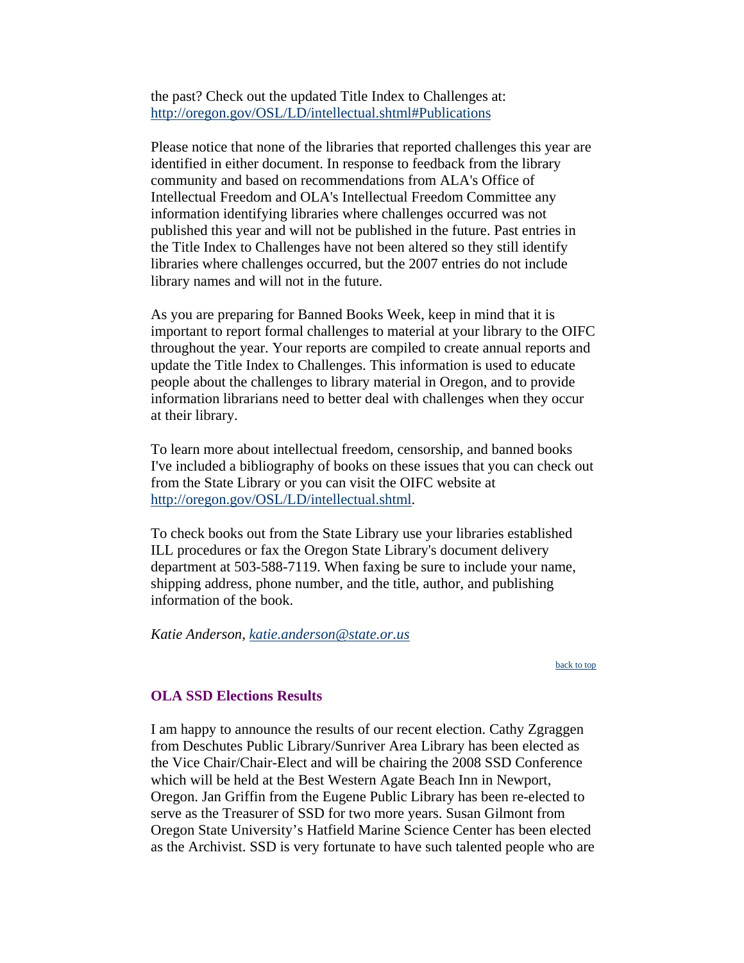<span id="page-3-0"></span>the past? Check out the updated Title Index to Challenges at: <http://oregon.gov/OSL/LD/intellectual.shtml#Publications>

Please notice that none of the libraries that reported challenges this year are identified in either document. In response to feedback from the library community and based on recommendations from ALA's Office of Intellectual Freedom and OLA's Intellectual Freedom Committee any information identifying libraries where challenges occurred was not published this year and will not be published in the future. Past entries in the Title Index to Challenges have not been altered so they still identify libraries where challenges occurred, but the 2007 entries do not include library names and will not in the future.

As you are preparing for Banned Books Week, keep in mind that it is important to report formal challenges to material at your library to the OIFC throughout the year. Your reports are compiled to create annual reports and update the Title Index to Challenges. This information is used to educate people about the challenges to library material in Oregon, and to provide information librarians need to better deal with challenges when they occur at their library.

To learn more about intellectual freedom, censorship, and banned books I've included a bibliography of books on these issues that you can check out from the State Library or you can visit the OIFC website at [http://oregon.gov/OSL/LD/intellectual.shtml.](http://oregon.gov/OSL/LD/intellectual.shtml)

To check books out from the State Library use your libraries established ILL procedures or fax the Oregon State Library's document delivery department at 503-588-7119. When faxing be sure to include your name, shipping address, phone number, and the title, author, and publishing information of the book.

*Katie Anderson, [katie.anderson@state.or.us](mailto:katie.anderson@state.or.us)*

[back to top](#page-0-0)

#### **OLA SSD Elections Results**

I am happy to announce the results of our recent election. Cathy Zgraggen from Deschutes Public Library/Sunriver Area Library has been elected as the Vice Chair/Chair-Elect and will be chairing the 2008 SSD Conference which will be held at the Best Western Agate Beach Inn in Newport, Oregon. Jan Griffin from the Eugene Public Library has been re-elected to serve as the Treasurer of SSD for two more years. Susan Gilmont from Oregon State University's Hatfield Marine Science Center has been elected as the Archivist. SSD is very fortunate to have such talented people who are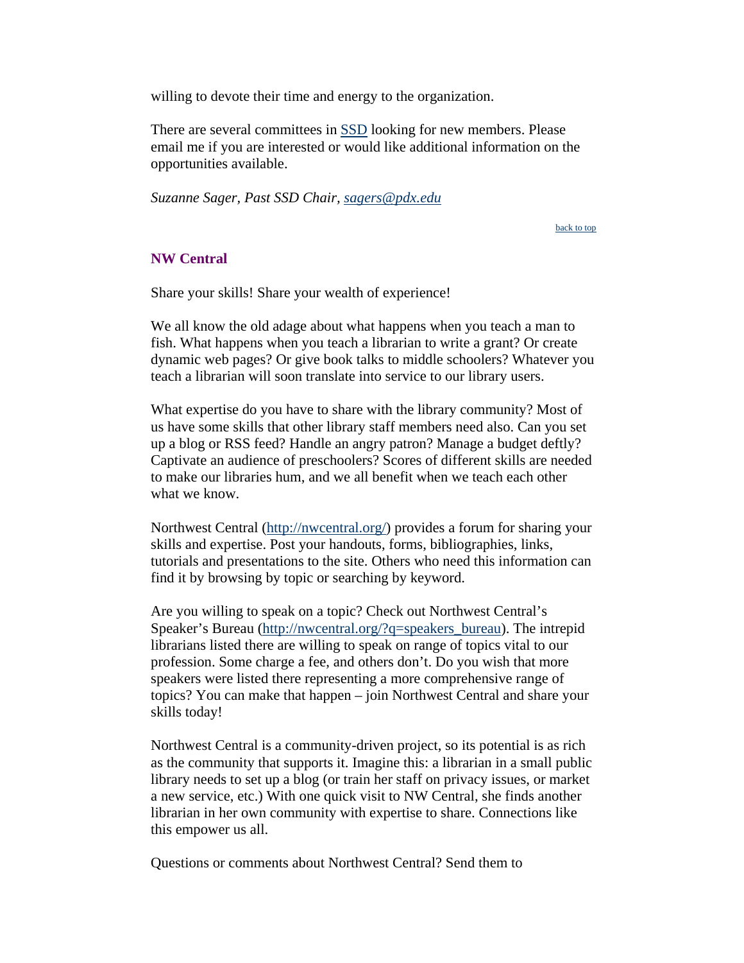<span id="page-4-0"></span>willing to devote their time and energy to the organization.

There are several committees in [SSD](http://olaweb.org/ssd) looking for new members. Please email me if you are interested or would like additional information on the opportunities available.

*Suzanne Sager, Past SSD Chair, [sagers@pdx.edu](mailto:sagers@pdx.edu)*

[back to top](#page-0-0)

# **NW Central**

Share your skills! Share your wealth of experience!

We all know the old adage about what happens when you teach a man to fish. What happens when you teach a librarian to write a grant? Or create dynamic web pages? Or give book talks to middle schoolers? Whatever you teach a librarian will soon translate into service to our library users.

What expertise do you have to share with the library community? Most of us have some skills that other library staff members need also. Can you set up a blog or RSS feed? Handle an angry patron? Manage a budget deftly? Captivate an audience of preschoolers? Scores of different skills are needed to make our libraries hum, and we all benefit when we teach each other what we know.

Northwest Central ([http://nwcentral.org/\)](http://nwcentral.org/) provides a forum for sharing your skills and expertise. Post your handouts, forms, bibliographies, links, tutorials and presentations to the site. Others who need this information can find it by browsing by topic or searching by keyword.

Are you willing to speak on a topic? Check out Northwest Central's Speaker's Bureau [\(http://nwcentral.org/?q=speakers\\_bureau\)](http://nwcentral.org/?q=speakers_bureau). The intrepid librarians listed there are willing to speak on range of topics vital to our profession. Some charge a fee, and others don't. Do you wish that more speakers were listed there representing a more comprehensive range of topics? You can make that happen – join Northwest Central and share your skills today!

Northwest Central is a community-driven project, so its potential is as rich as the community that supports it. Imagine this: a librarian in a small public library needs to set up a blog (or train her staff on privacy issues, or market a new service, etc.) With one quick visit to NW Central, she finds another librarian in her own community with expertise to share. Connections like this empower us all.

Questions or comments about Northwest Central? Send them to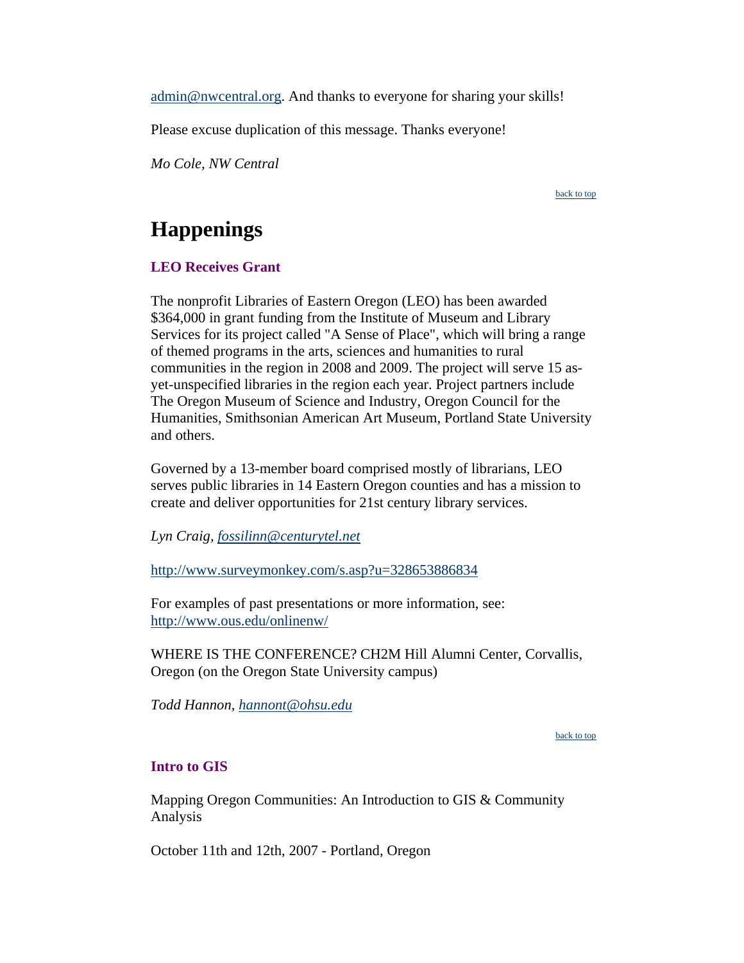<span id="page-5-0"></span>[admin@nwcentral.org.](mailto:admin@nwcentral.org) And thanks to everyone for sharing your skills!

Please excuse duplication of this message. Thanks everyone!

*Mo Cole, NW Central*

[back to top](#page-0-0)

# **Happenings**

# **LEO Receives Grant**

The nonprofit Libraries of Eastern Oregon (LEO) has been awarded \$364,000 in grant funding from the Institute of Museum and Library Services for its project called "A Sense of Place", which will bring a range of themed programs in the arts, sciences and humanities to rural communities in the region in 2008 and 2009. The project will serve 15 asyet-unspecified libraries in the region each year. Project partners include The Oregon Museum of Science and Industry, Oregon Council for the Humanities, Smithsonian American Art Museum, Portland State University and others.

Governed by a 13-member board comprised mostly of librarians, LEO serves public libraries in 14 Eastern Oregon counties and has a mission to create and deliver opportunities for 21st century library services.

*Lyn Craig, [fossilinn@centurytel.net](mailto:fossilinn@centurytel.net)*

[http://www.surveymonkey.com/s.asp?u=328653886834](http://www.opb.org/publicinsight%3Ewww.opb.org/publicinsight.%3C/a%3E%3C/p%3E%3Cp%20align=)

For examples of past presentations or more information, see: <http://www.ous.edu/onlinenw/>

WHERE IS THE CONFERENCE? CH2M Hill Alumni Center, Corvallis, Oregon (on the Oregon State University campus)

*Todd Hannon, [hannont@ohsu.edu](mailto:hannont@ohsu.edu)*

[back to top](#page-0-0)

# **Intro to GIS**

Mapping Oregon Communities: An Introduction to GIS & Community Analysis

October 11th and 12th, 2007 - Portland, Oregon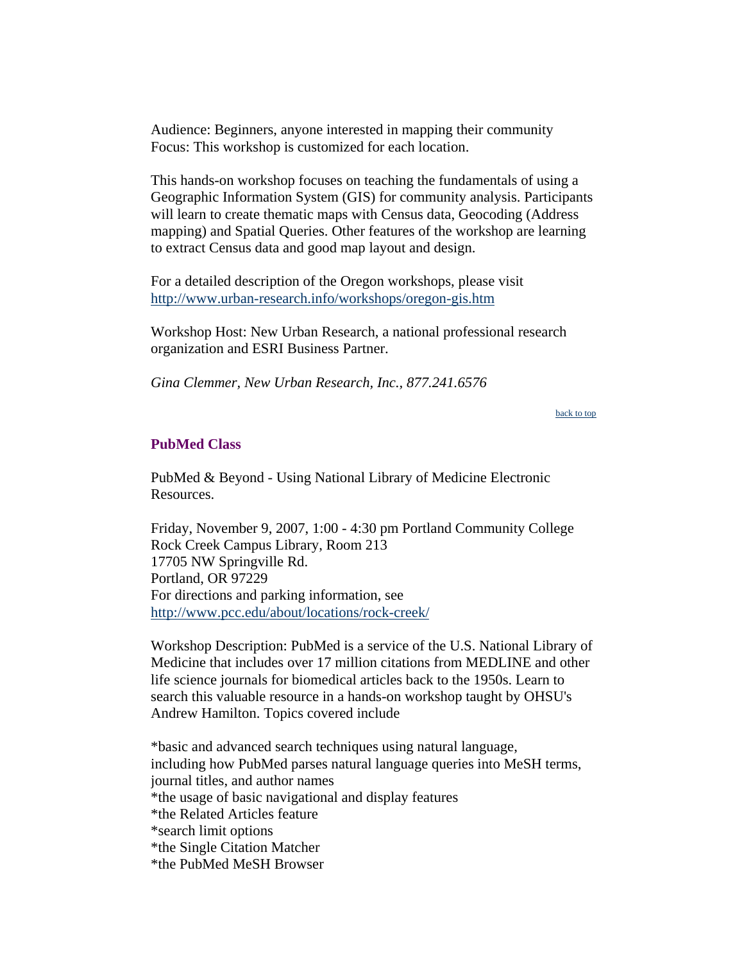<span id="page-6-0"></span>Audience: Beginners, anyone interested in mapping their community Focus: This workshop is customized for each location.

This hands-on workshop focuses on teaching the fundamentals of using a Geographic Information System (GIS) for community analysis. Participants will learn to create thematic maps with Census data, Geocoding (Address mapping) and Spatial Queries. Other features of the workshop are learning to extract Census data and good map layout and design.

For a detailed description of the Oregon workshops, please visit <http://www.urban-research.info/workshops/oregon-gis.htm>

Workshop Host: New Urban Research, a national professional research organization and ESRI Business Partner.

*Gina Clemmer, New Urban Research, Inc., 877.241.6576*

[back to top](#page-0-0)

#### **PubMed Class**

PubMed & Beyond - Using National Library of Medicine Electronic Resources.

Friday, November 9, 2007, 1:00 - 4:30 pm Portland Community College Rock Creek Campus Library, Room 213 17705 NW Springville Rd. Portland, OR 97229 For directions and parking information, see <http://www.pcc.edu/about/locations/rock-creek/>

Workshop Description: PubMed is a service of the U.S. National Library of Medicine that includes over 17 million citations from MEDLINE and other life science journals for biomedical articles back to the 1950s. Learn to search this valuable resource in a hands-on workshop taught by OHSU's Andrew Hamilton. Topics covered include

\*basic and advanced search techniques using natural language, including how PubMed parses natural language queries into MeSH terms, journal titles, and author names \*the usage of basic navigational and display features \*the Related Articles feature \*search limit options \*the Single Citation Matcher \*the PubMed MeSH Browser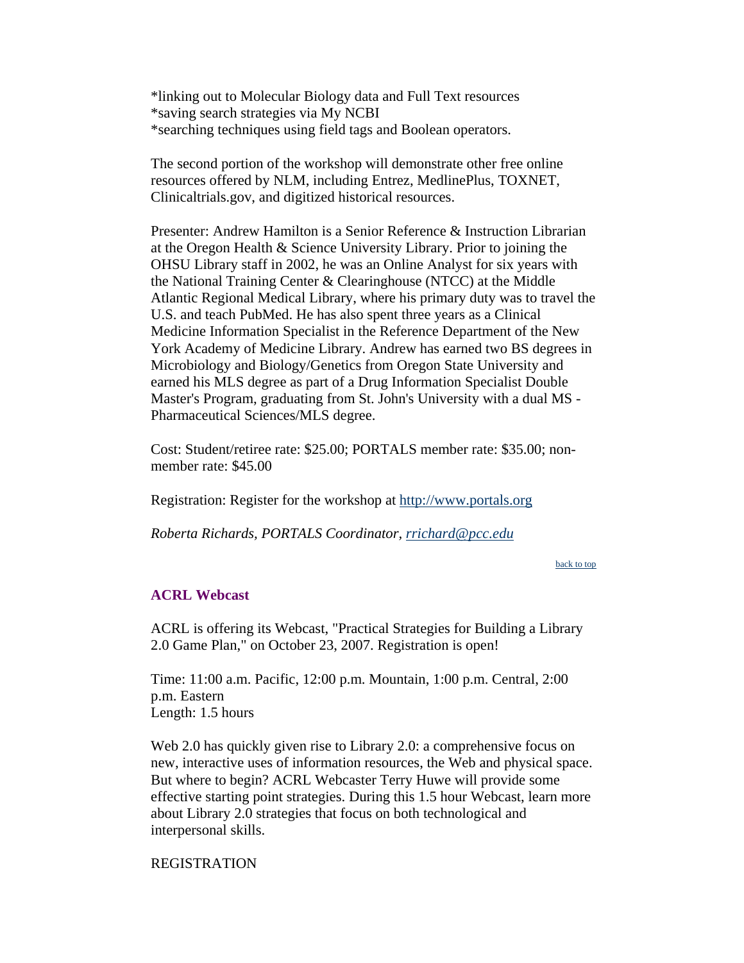<span id="page-7-0"></span>\*linking out to Molecular Biology data and Full Text resources \*saving search strategies via My NCBI \*searching techniques using field tags and Boolean operators.

The second portion of the workshop will demonstrate other free online resources offered by NLM, including Entrez, MedlinePlus, TOXNET, Clinicaltrials.gov, and digitized historical resources.

Presenter: Andrew Hamilton is a Senior Reference & Instruction Librarian at the Oregon Health & Science University Library. Prior to joining the OHSU Library staff in 2002, he was an Online Analyst for six years with the National Training Center & Clearinghouse (NTCC) at the Middle Atlantic Regional Medical Library, where his primary duty was to travel the U.S. and teach PubMed. He has also spent three years as a Clinical Medicine Information Specialist in the Reference Department of the New York Academy of Medicine Library. Andrew has earned two BS degrees in Microbiology and Biology/Genetics from Oregon State University and earned his MLS degree as part of a Drug Information Specialist Double Master's Program, graduating from St. John's University with a dual MS - Pharmaceutical Sciences/MLS degree.

Cost: Student/retiree rate: \$25.00; PORTALS member rate: \$35.00; nonmember rate: \$45.00

Registration: Register for the workshop at [http://www.portals.org](http://www.portals.org/)

*Roberta Richards, PORTALS Coordinator, [rrichard@pcc.edu](mailto:rrichard@pcc.edu)*

[back to top](#page-0-0)

#### **ACRL Webcast**

ACRL is offering its Webcast, "Practical Strategies for Building a Library 2.0 Game Plan," on October 23, 2007. Registration is open!

Time: 11:00 a.m. Pacific, 12:00 p.m. Mountain, 1:00 p.m. Central, 2:00 p.m. Eastern Length: 1.5 hours

Web 2.0 has quickly given rise to Library 2.0: a comprehensive focus on new, interactive uses of information resources, the Web and physical space. But where to begin? ACRL Webcaster Terry Huwe will provide some effective starting point strategies. During this 1.5 hour Webcast, learn more about Library 2.0 strategies that focus on both technological and interpersonal skills.

#### REGISTRATION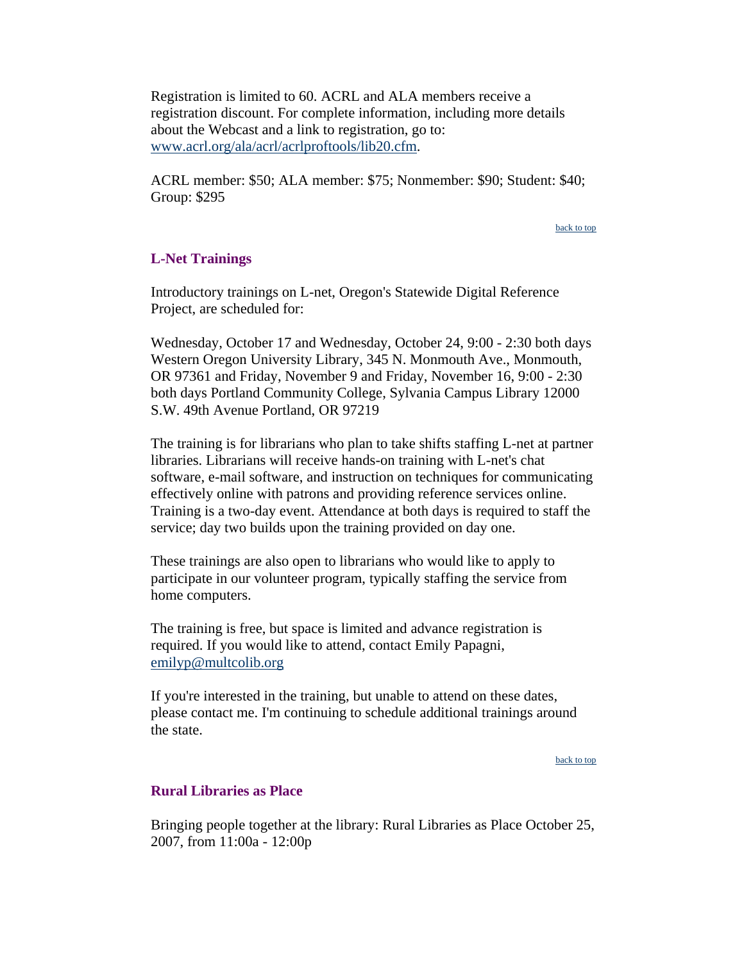<span id="page-8-0"></span>Registration is limited to 60. ACRL and ALA members receive a registration discount. For complete information, including more details about the Webcast and a link to registration, go to: [www.acrl.org/ala/acrl/acrlproftools/lib20.cfm](http://www.acrl.org/ala/acrl/acrlproftools/lib20.cfm).

ACRL member: \$50; ALA member: \$75; Nonmember: \$90; Student: \$40; Group: \$295

[back to top](#page-0-0)

#### **L-Net Trainings**

Introductory trainings on L-net, Oregon's Statewide Digital Reference Project, are scheduled for:

Wednesday, October 17 and Wednesday, October 24, 9:00 - 2:30 both days Western Oregon University Library, 345 N. Monmouth Ave., Monmouth, OR 97361 and Friday, November 9 and Friday, November 16, 9:00 - 2:30 both days Portland Community College, Sylvania Campus Library 12000 S.W. 49th Avenue Portland, OR 97219

The training is for librarians who plan to take shifts staffing L-net at partner libraries. Librarians will receive hands-on training with L-net's chat software, e-mail software, and instruction on techniques for communicating effectively online with patrons and providing reference services online. Training is a two-day event. Attendance at both days is required to staff the service; day two builds upon the training provided on day one.

These trainings are also open to librarians who would like to apply to participate in our volunteer program, typically staffing the service from home computers.

The training is free, but space is limited and advance registration is required. If you would like to attend, contact Emily Papagni, [emilyp@multcolib.org](mailto:emilyp@multcolib.org) 

If you're interested in the training, but unable to attend on these dates, please contact me. I'm continuing to schedule additional trainings around the state.

[back to top](#page-0-0)

#### **Rural Libraries as Place**

Bringing people together at the library: Rural Libraries as Place October 25, 2007, from 11:00a - 12:00p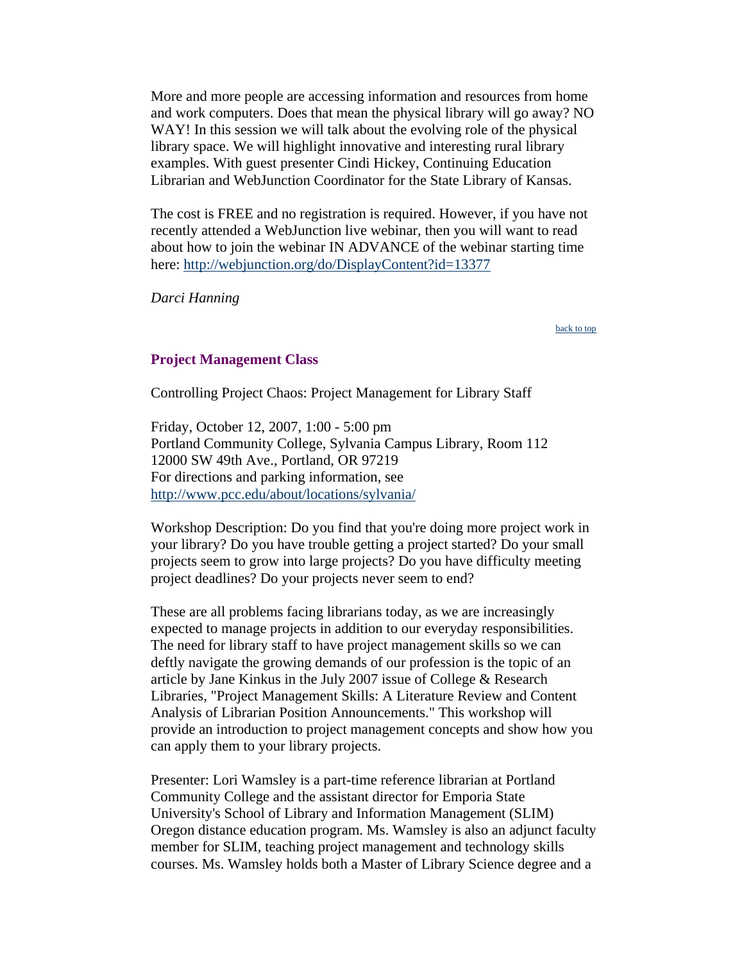<span id="page-9-0"></span>More and more people are accessing information and resources from home and work computers. Does that mean the physical library will go away? NO WAY! In this session we will talk about the evolving role of the physical library space. We will highlight innovative and interesting rural library examples. With guest presenter Cindi Hickey, Continuing Education Librarian and WebJunction Coordinator for the State Library of Kansas.

The cost is FREE and no registration is required. However, if you have not recently attended a WebJunction live webinar, then you will want to read about how to join the webinar IN ADVANCE of the webinar starting time here:<http://webjunction.org/do/DisplayContent?id=13377>

*Darci Hanning*

[back to top](#page-0-0)

#### **Project Management Class**

Controlling Project Chaos: Project Management for Library Staff

Friday, October 12, 2007, 1:00 - 5:00 pm Portland Community College, Sylvania Campus Library, Room 112 12000 SW 49th Ave., Portland, OR 97219 For directions and parking information, see <http://www.pcc.edu/about/locations/sylvania/>

Workshop Description: Do you find that you're doing more project work in your library? Do you have trouble getting a project started? Do your small projects seem to grow into large projects? Do you have difficulty meeting project deadlines? Do your projects never seem to end?

These are all problems facing librarians today, as we are increasingly expected to manage projects in addition to our everyday responsibilities. The need for library staff to have project management skills so we can deftly navigate the growing demands of our profession is the topic of an article by Jane Kinkus in the July 2007 issue of College & Research Libraries, "Project Management Skills: A Literature Review and Content Analysis of Librarian Position Announcements." This workshop will provide an introduction to project management concepts and show how you can apply them to your library projects.

Presenter: Lori Wamsley is a part-time reference librarian at Portland Community College and the assistant director for Emporia State University's School of Library and Information Management (SLIM) Oregon distance education program. Ms. Wamsley is also an adjunct faculty member for SLIM, teaching project management and technology skills courses. Ms. Wamsley holds both a Master of Library Science degree and a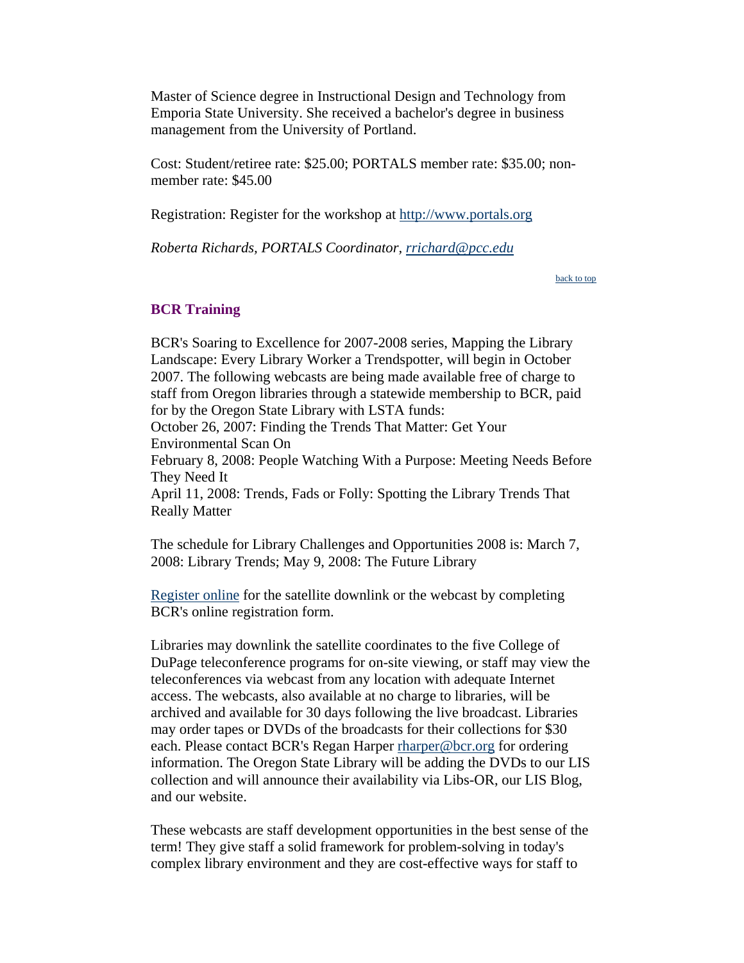<span id="page-10-0"></span>Master of Science degree in Instructional Design and Technology from Emporia State University. She received a bachelor's degree in business management from the University of Portland.

Cost: Student/retiree rate: \$25.00; PORTALS member rate: \$35.00; nonmember rate: \$45.00

Registration: Register for the workshop at [http://www.portals.org](http://www.portals.org/)

*Roberta Richards, PORTALS Coordinator, [rrichard@pcc.edu](mailto:rrichard@pcc.edu)*

[back to top](#page-0-0)

# **BCR Training**

BCR's Soaring to Excellence for 2007-2008 series, Mapping the Library Landscape: Every Library Worker a Trendspotter, will begin in October 2007. The following webcasts are being made available free of charge to staff from Oregon libraries through a statewide membership to BCR, paid for by the Oregon State Library with LSTA funds: October 26, 2007: Finding the Trends That Matter: Get Your Environmental Scan On February 8, 2008: People Watching With a Purpose: Meeting Needs Before They Need It April 11, 2008: Trends, Fads or Folly: Spotting the Library Trends That Really Matter

The schedule for Library Challenges and Opportunities 2008 is: March 7, 2008: Library Trends; May 9, 2008: The Future Library

[Register online](http://www.bcr.org/training/teleconferences/) for the satellite downlink or the webcast by completing BCR's online registration form.

Libraries may downlink the satellite coordinates to the five College of DuPage teleconference programs for on-site viewing, or staff may view the teleconferences via webcast from any location with adequate Internet access. The webcasts, also available at no charge to libraries, will be archived and available for 30 days following the live broadcast. Libraries may order tapes or DVDs of the broadcasts for their collections for \$30 each. Please contact BCR's Regan Harper [rharper@bcr.org](mailto:rharper@bcr.org) for ordering information. The Oregon State Library will be adding the DVDs to our LIS collection and will announce their availability via Libs-OR, our LIS Blog, and our website.

These webcasts are staff development opportunities in the best sense of the term! They give staff a solid framework for problem-solving in today's complex library environment and they are cost-effective ways for staff to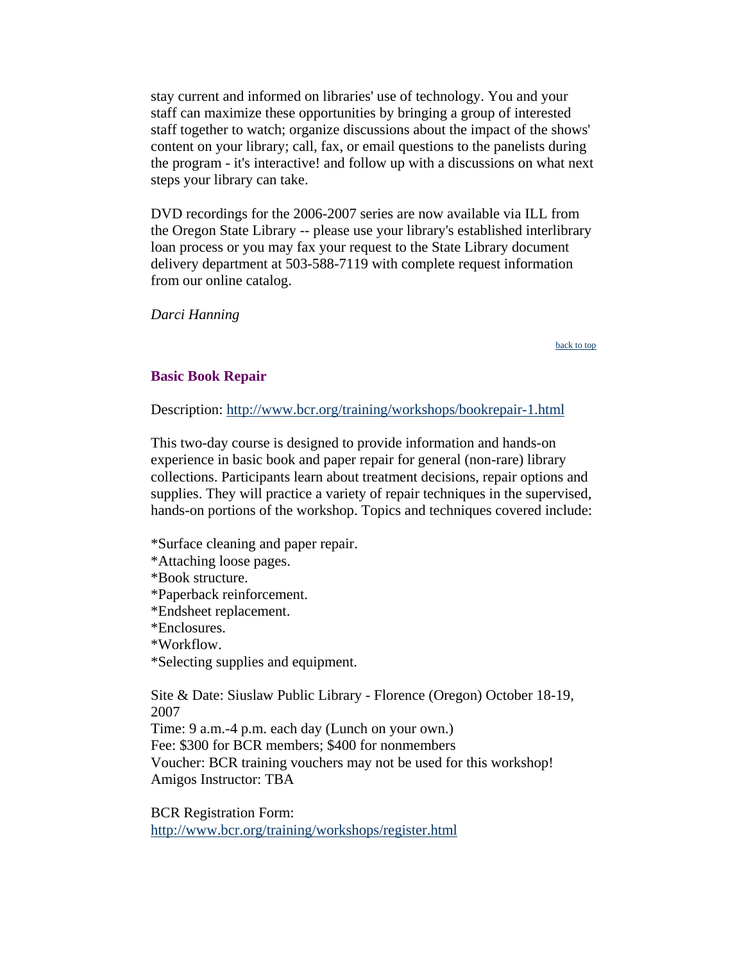<span id="page-11-0"></span>stay current and informed on libraries' use of technology. You and your staff can maximize these opportunities by bringing a group of interested staff together to watch; organize discussions about the impact of the shows' content on your library; call, fax, or email questions to the panelists during the program - it's interactive! and follow up with a discussions on what next steps your library can take.

DVD recordings for the 2006-2007 series are now available via ILL from the Oregon State Library -- please use your library's established interlibrary loan process or you may fax your request to the State Library document delivery department at 503-588-7119 with complete request information from our online catalog.

*Darci Hanning*

[back to top](#page-0-0)

# **Basic Book Repair**

Description: <http://www.bcr.org/training/workshops/bookrepair-1.html>

This two-day course is designed to provide information and hands-on experience in basic book and paper repair for general (non-rare) library collections. Participants learn about treatment decisions, repair options and supplies. They will practice a variety of repair techniques in the supervised, hands-on portions of the workshop. Topics and techniques covered include:

\*Surface cleaning and paper repair. \*Attaching loose pages. \*Book structure. \*Paperback reinforcement. \*Endsheet replacement. \*Enclosures. \*Workflow. \*Selecting supplies and equipment.

Site & Date: Siuslaw Public Library - Florence (Oregon) October 18-19, 2007 Time: 9 a.m.-4 p.m. each day (Lunch on your own.) Fee: \$300 for BCR members; \$400 for nonmembers Voucher: BCR training vouchers may not be used for this workshop! Amigos Instructor: TBA

BCR Registration Form: <http://www.bcr.org/training/workshops/register.html>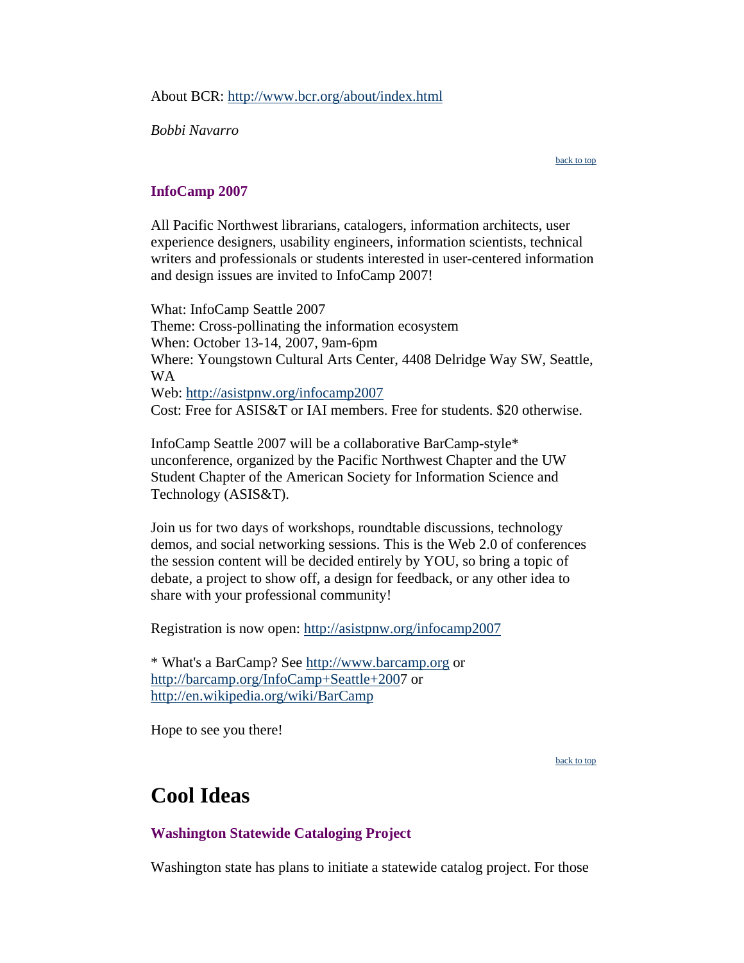<span id="page-12-0"></span>About BCR: <http://www.bcr.org/about/index.html>

*Bobbi Navarro*

[back to top](#page-0-0)

# **InfoCamp 2007**

All Pacific Northwest librarians, catalogers, information architects, user experience designers, usability engineers, information scientists, technical writers and professionals or students interested in user-centered information and design issues are invited to InfoCamp 2007!

What: InfoCamp Seattle 2007 Theme: Cross-pollinating the information ecosystem When: October 13-14, 2007, 9am-6pm Where: Youngstown Cultural Arts Center, 4408 Delridge Way SW, Seattle, WA Web:<http://asistpnw.org/infocamp2007> Cost: Free for ASIS&T or IAI members. Free for students. \$20 otherwise.

InfoCamp Seattle 2007 will be a collaborative BarCamp-style\* unconference, organized by the Pacific Northwest Chapter and the UW Student Chapter of the American Society for Information Science and Technology (ASIS&T).

Join us for two days of workshops, roundtable discussions, technology demos, and social networking sessions. This is the Web 2.0 of conferences the session content will be decided entirely by YOU, so bring a topic of debate, a project to show off, a design for feedback, or any other idea to share with your professional community!

Registration is now open:<http://asistpnw.org/infocamp2007>

\* What's a BarCamp? See [http://www.barcamp.org](http://www.barcamp.org/) or <http://barcamp.org/InfoCamp+Seattle+200>7 or <http://en.wikipedia.org/wiki/BarCamp>

Hope to see you there!

[back to top](#page-0-0)

# **Cool Ideas**

# **Washington Statewide Cataloging Project**

Washington state has plans to initiate a statewide catalog project. For those